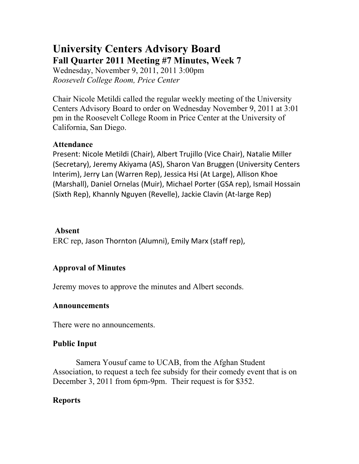## **University Centers Advisory Board Fall Quarter 2011 Meeting #7 Minutes, Week 7**

Wednesday, November 9, 2011, 2011 3:00pm *Roosevelt College Room, Price Center*

Chair Nicole Metildi called the regular weekly meeting of the University Centers Advisory Board to order on Wednesday November 9, 2011 at 3:01 pm in the Roosevelt College Room in Price Center at the University of California, San Diego.

#### **Attendance**

Present: Nicole Metildi (Chair), Albert Trujillo (Vice Chair), Natalie Miller (Secretary), Jeremy Akiyama (AS), Sharon Van Bruggen (University Centers Interim), Jerry Lan (Warren Rep), Jessica Hsi (At Large), Allison Khoe (Marshall), Daniel Ornelas (Muir), Michael Porter (GSA rep), Ismail Hossain (Sixth Rep), Khannly Nguyen (Revelle), Jackie Clavin (At-large Rep)

#### **Absent**

ERC rep, Jason Thornton (Alumni), Emily Marx (staff rep),

## **Approval of Minutes**

Jeremy moves to approve the minutes and Albert seconds.

#### **Announcements**

There were no announcements.

### **Public Input**

 Samera Yousuf came to UCAB, from the Afghan Student Association, to request a tech fee subsidy for their comedy event that is on December 3, 2011 from 6pm-9pm. Their request is for \$352.

#### **Reports**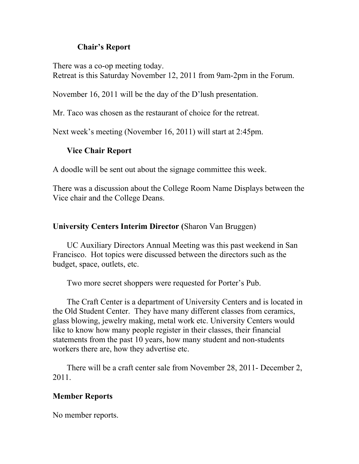#### **Chair's Report**

There was a co-op meeting today. Retreat is this Saturday November 12, 2011 from 9am-2pm in the Forum.

November 16, 2011 will be the day of the D'lush presentation.

Mr. Taco was chosen as the restaurant of choice for the retreat.

Next week's meeting (November 16, 2011) will start at 2:45pm.

#### **Vice Chair Report**

A doodle will be sent out about the signage committee this week.

There was a discussion about the College Room Name Displays between the Vice chair and the College Deans.

#### **University Centers Interim Director (**Sharon Van Bruggen)

UC Auxiliary Directors Annual Meeting was this past weekend in San Francisco. Hot topics were discussed between the directors such as the budget, space, outlets, etc.

Two more secret shoppers were requested for Porter's Pub.

The Craft Center is a department of University Centers and is located in the Old Student Center. They have many different classes from ceramics, glass blowing, jewelry making, metal work etc. University Centers would like to know how many people register in their classes, their financial statements from the past 10 years, how many student and non-students workers there are, how they advertise etc.

There will be a craft center sale from November 28, 2011- December 2, 2011.

#### **Member Reports**

No member reports.